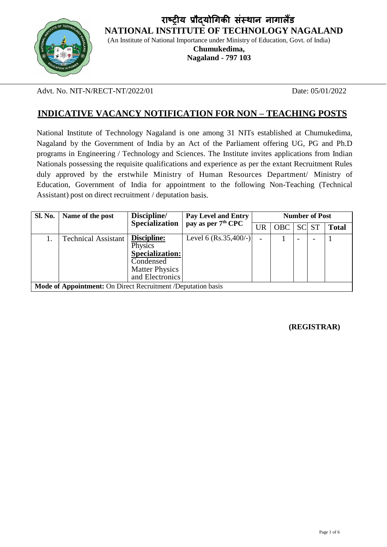**राष्ट्रीय प्रौद्योगिकी संस्थान नािालैंड NATIONAL INSTITUTE OF TECHNOLOGY NAGALAND**



(An Institute of National Importance under Ministry of Education, Govt. of India)

**Chumukedima, Nagaland - 797 103**

Advt. No. NIT-N/RECT-NT/2022/01 Date: 05/01/2022

# **INDICATIVE VACANCY NOTIFICATION FOR NON – TEACHING POSTS**

National Institute of Technology Nagaland is one among 31 NITs established at Chumukedima, Nagaland by the Government of India by an Act of the Parliament offering UG, PG and Ph.D programs in Engineering / Technology and Sciences. The Institute invites applications from Indian Nationals possessing the requisite qualifications and experience as per the extant Recruitment Rules duly approved by the erstwhile Ministry of Human Resources Department/ Ministry of Education, Government of India for appointment to the following Non-Teaching (Technical Assistant) post on direct recruitment / deputation basis.

| <b>Sl. No.</b>                                               | Name of the post           | Discipline/                                           | Pay Level and Entry<br>pay as per 7 <sup>th</sup> CPC | <b>Number of Post</b>    |            |  |       |              |
|--------------------------------------------------------------|----------------------------|-------------------------------------------------------|-------------------------------------------------------|--------------------------|------------|--|-------|--------------|
|                                                              |                            | <b>Specialization</b>                                 |                                                       | <b>UR</b>                | <b>OBC</b> |  | SC ST | <b>Total</b> |
|                                                              | <b>Technical Assistant</b> | Discipline:<br>Physics<br>Specialization:             | Level 6 $(Rs.35,400/-)$                               | $\overline{\phantom{0}}$ |            |  |       |              |
|                                                              |                            | Condensed<br><b>Matter Physics</b><br>and Electronics |                                                       |                          |            |  |       |              |
| Mode of Appointment: On Direct Recruitment /Deputation basis |                            |                                                       |                                                       |                          |            |  |       |              |

**(REGISTRAR)**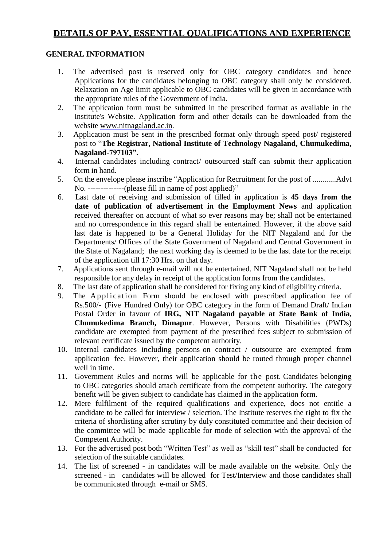# **DETAILS OF PAY, ESSENTIAL QUALIFICATIONS AND EXPERIENCE**

#### **GENERAL INFORMATION**

- 1. The advertised post is reserved only for OBC category candidates and hence Applications for the candidates belonging to OBC category shall only be considered. Relaxation on Age limit applicable to OBC candidates will be given in accordance with the appropriate rules of the Government of India.
- 2. The application form must be submitted in the prescribed format as available in the Institute's Website. Application form and other details can be downloaded from the website [www.nitnagaland.ac.in.](http://www.nitnagaland.ac.in/)
- 3. Application must be sent in the prescribed format only through speed post/ registered post to "**The Registrar, National Institute of Technology Nagaland, Chumukedima, Nagaland-797103".**
- 4. Internal candidates including contract/ outsourced staff can submit their application form in hand.
- 5. On the envelope please inscribe "Application for Recruitment for the post of ............Advt No. --------------(please fill in name of post applied)"
- 6. Last date of receiving and submission of filled in application is **45 days from the date of publication of advertisement in the Employment News** and application received thereafter on account of what so ever reasons may be; shall not be entertained and no correspondence in this regard shall be entertained. However, if the above said last date is happened to be a General Holiday for the NIT Nagaland and for the Departments/ Offices of the State Government of Nagaland and Central Government in the State of Nagaland; the next working day is deemed to be the last date for the receipt of the application till 17:30 Hrs. on that day.
- 7. Applications sent through e-mail will not be entertained. NIT Nagaland shall not be held responsible for any delay in receipt of the application forms from the candidates.
- 8. The last date of application shall be considered for fixing any kind of eligibility criteria.
- 9. The Application Form should be enclosed with prescribed application fee of Rs.500/- (Five Hundred Only) for OBC category in the form of Demand Draft/ Indian Postal Order in favour of **IRG, NIT Nagaland payable at State Bank of India, Chumukedima Branch, Dimapur**. However, Persons with Disabilities (PWDs) candidate are exempted from payment of the prescribed fees subject to submission of relevant certificate issued by the competent authority.
- 10. Internal candidates including persons on contract / outsource are exempted from application fee. However, their application should be routed through proper channel well in time.
- 11. Government Rules and norms will be applicable for the post. Candidates belonging to OBC categories should attach certificate from the competent authority. The category benefit will be given subject to candidate has claimed in the application form.
- 12. Mere fulfilment of the required qualifications and experience, does not entitle a candidate to be called for interview / selection. The Institute reserves the right to fix the criteria of shortlisting after scrutiny by duly constituted committee and their decision of the committee will be made applicable for mode of selection with the approval of the Competent Authority.
- 13. For the advertised post both "Written Test" as well as "skill test" shall be conducted for selection of the suitable candidates.
- 14. The list of screened in candidates will be made available on the website. Only the screened - in candidates will be allowed for Test/Interview and those candidates shall be communicated through e-mail or SMS.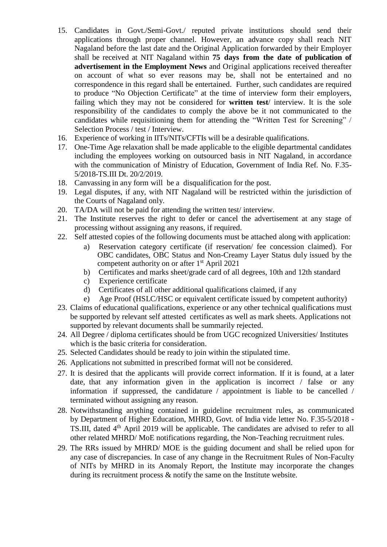- 15. Candidates in Govt./Semi-Govt./ reputed private institutions should send their applications through proper channel. However, an advance copy shall reach NIT Nagaland before the last date and the Original Application forwarded by their Employer shall be received at NIT Nagaland within **75 days from the date of publication of advertisement in the Employment News** and Original applications received thereafter on account of what so ever reasons may be, shall not be entertained and no correspondence in this regard shall be entertained. Further, such candidates are required to produce "No Objection Certificate" at the time of interview form their employers, failing which they may not be considered for **written test**/ interview. It is the sole responsibility of the candidates to comply the above be it not communicated to the candidates while requisitioning them for attending the "Written Test for Screening" / Selection Process / test / Interview.
- 16. Experience of working in IITs/NITs/CFTIs will be a desirable qualifications.
- 17. One-Time Age relaxation shall be made applicable to the eligible departmental candidates including the employees working on outsourced basis in NIT Nagaland, in accordance with the communication of Ministry of Education, Government of India Ref. No. F.35- 5/2018-TS.III Dt. 20/2/2019.
- 18. Canvassing in any form will be a disqualification for the post.
- 19. Legal disputes, if any, with NIT Nagaland will be restricted within the jurisdiction of the Courts of Nagaland only.
- 20. TA/DA will not be paid for attending the written test/ interview.
- 21. The Institute reserves the right to defer or cancel the advertisement at any stage of processing without assigning any reasons, if required.
- 22. Self attested copies of the following documents must be attached along with application:
	- a) Reservation category certificate (if reservation/ fee concession claimed). For OBC candidates, OBC Status and Non-Creamy Layer Status duly issued by the competent authority on or after 1<sup>st</sup> April 2021
	- b) Certificates and marks sheet/grade card of all degrees, 10th and 12th standard
	- c) Experience certificate
	- d) Certificates of all other additional qualifications claimed, if any
	- e) Age Proof (HSLC/HSC or equivalent certificate issued by competent authority)
- 23. Claims of educational qualifications, experience or any other technical qualifications must be supported by relevant self attested certificates as well as mark sheets. Applications not supported by relevant documents shall be summarily rejected.
- 24. All Degree / diploma certificates should be from UGC recognized Universities/ Institutes which is the basic criteria for consideration.
- 25. Selected Candidates should be ready to join within the stipulated time.
- 26. Applications not submitted in prescribed format will not be considered.
- 27. It is desired that the applicants will provide correct information. If it is found, at a later date, that any information given in the application is incorrect / false or any information if suppressed, the candidature / appointment is liable to be cancelled / terminated without assigning any reason.
- 28. Notwithstanding anything contained in guideline recruitment rules, as communicated by Department of Higher Education, MHRD, Govt. of India vide letter No. F.35-5/2018 - TS.III, dated 4<sup>th</sup> April 2019 will be applicable. The candidates are advised to refer to all other related MHRD/ MoE notifications regarding, the Non-Teaching recruitment rules.
- 29. The RRs issued by MHRD/ MOE is the guiding document and shall be relied upon for any case of discrepancies. In case of any change in the Recruitment Rules of Non-Faculty of NITs by MHRD in its Anomaly Report, the Institute may incorporate the changes during its recruitment process & notify the same on the Institute website.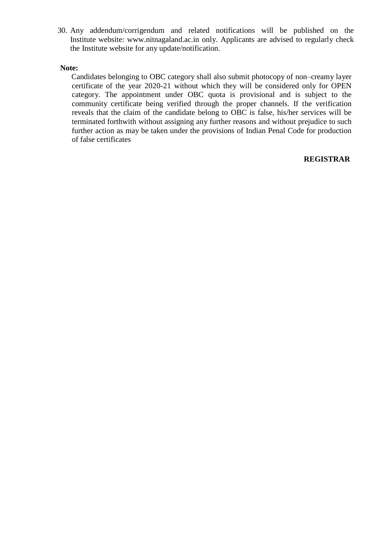30. Any addendum/corrigendum and related notifications will be published on the Institute website: [www.nitnagaland.ac.in](http://www.nitnagaland.ac.in/) only. Applicants are advised to regularly check the Institute website for any update/notification.

#### **Note:**

Candidates belonging to OBC category shall also submit photocopy of non–creamy layer certificate of the year 2020-21 without which they will be considered only for OPEN category. The appointment under OBC quota is provisional and is subject to the community certificate being verified through the proper channels. If the verification reveals that the claim of the candidate belong to OBC is false, his/her services will be terminated forthwith without assigning any further reasons and without prejudice to such further action as may be taken under the provisions of Indian Penal Code for production of false certificates

### **REGISTRAR**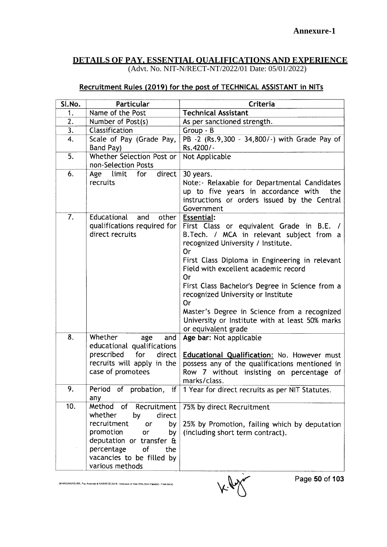# **DETAILS OF PAY, ESSENTIAL QUALIFICATIONS AND EXPERIENCE**

(Advt. No. NIT-N/RECT-NT/2022/01 Date: 05/01/2022)

### Recruitment Rules (2019) for the post of TECHNICAL ASSISTANT in NITs

| Sl.No.           | Particular                                                                                                                                                                                                     | Criteria                                                                                                                                                                                                                                                                                                                                                                                                                                                                         |  |  |
|------------------|----------------------------------------------------------------------------------------------------------------------------------------------------------------------------------------------------------------|----------------------------------------------------------------------------------------------------------------------------------------------------------------------------------------------------------------------------------------------------------------------------------------------------------------------------------------------------------------------------------------------------------------------------------------------------------------------------------|--|--|
| 1.               | Name of the Post                                                                                                                                                                                               | <b>Technical Assistant</b>                                                                                                                                                                                                                                                                                                                                                                                                                                                       |  |  |
| 2.               | Number of Post(s)                                                                                                                                                                                              | As per sanctioned strength.                                                                                                                                                                                                                                                                                                                                                                                                                                                      |  |  |
| $\overline{3}$ . | Classification                                                                                                                                                                                                 | Group - B                                                                                                                                                                                                                                                                                                                                                                                                                                                                        |  |  |
| 4.               | Scale of Pay (Grade Pay,                                                                                                                                                                                       | PB -2 (Rs.9,300 - 34,800/-) with Grade Pay of                                                                                                                                                                                                                                                                                                                                                                                                                                    |  |  |
|                  | Band Pay)                                                                                                                                                                                                      | Rs.4200/-                                                                                                                                                                                                                                                                                                                                                                                                                                                                        |  |  |
| 5.               | Whether Selection Post or                                                                                                                                                                                      | Not Applicable                                                                                                                                                                                                                                                                                                                                                                                                                                                                   |  |  |
|                  | non-Selection Posts                                                                                                                                                                                            |                                                                                                                                                                                                                                                                                                                                                                                                                                                                                  |  |  |
| 6.               | Age limit for<br>direct<br>recruits                                                                                                                                                                            | 30 years.<br>Note:- Relaxable for Departmental Candidates<br>up to five years in accordance with<br>the<br>instructions or orders issued by the Central<br>Government                                                                                                                                                                                                                                                                                                            |  |  |
| 7.               | Educational and<br>other<br>qualifications required for<br>direct recruits                                                                                                                                     | <b>Essential:</b><br>First Class or equivalent Grade in B.E. /<br>B. Tech. / MCA in relevant subject from a<br>recognized University / Institute.<br>Or<br>First Class Diploma in Engineering in relevant<br>Field with excellent academic record<br>0r<br>First Class Bachelor's Degree in Science from a<br>recognized University or Institute<br>Or<br>Master's Degree in Science from a recognized<br>University or Institute with at least 50% marks<br>or equivalent grade |  |  |
| 8.               | Whether<br>and<br>age<br>educational qualifications<br>prescribed<br>for<br>direct<br>recruits will apply in the<br>case of promotees                                                                          | Age bar: Not applicable<br>Educational Qualification: No. However must<br>possess any of the qualifications mentioned in<br>Row 7 without insisting on percentage of<br>marks/class.                                                                                                                                                                                                                                                                                             |  |  |
| 9.               | any                                                                                                                                                                                                            | Period of probation, if $ 1$ Year for direct recruits as per NIT Statutes.                                                                                                                                                                                                                                                                                                                                                                                                       |  |  |
| 10.              | Method<br>of Recruitment<br>whether<br>direct<br>by<br>recruitment<br>or<br>by<br>promotion<br>or<br>by<br>deputation or transfer &<br>percentage<br>of<br>the<br>vacancies to be filled by<br>various methods | 75% by direct Recruitment<br>25% by Promotion, failing which by deputation<br>(including short term contract).                                                                                                                                                                                                                                                                                                                                                                   |  |  |

[MHRD\RAVI\D:\RR, Pay Anomaly & CAS\20,02.2019 - Annexure of New RRs (Non-Faculty) - Final.docx]